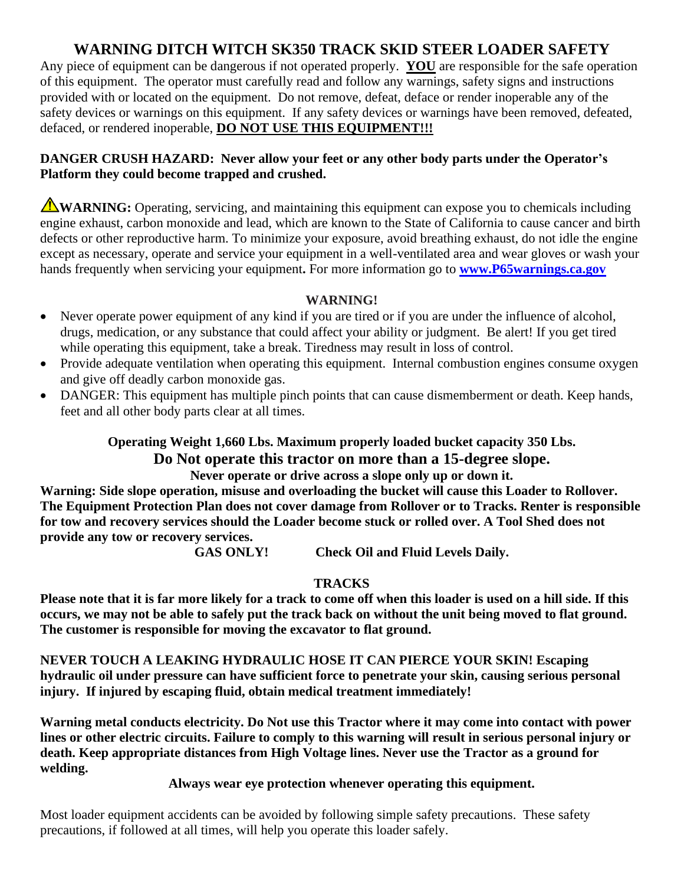# **WARNING DITCH WITCH SK350 TRACK SKID STEER LOADER SAFETY**

Any piece of equipment can be dangerous if not operated properly. **YOU** are responsible for the safe operation of this equipment. The operator must carefully read and follow any warnings, safety signs and instructions provided with or located on the equipment. Do not remove, defeat, deface or render inoperable any of the safety devices or warnings on this equipment. If any safety devices or warnings have been removed, defeated, defaced, or rendered inoperable, **DO NOT USE THIS EQUIPMENT!!!**

#### **DANGER CRUSH HAZARD: Never allow your feet or any other body parts under the Operator's Platform they could become trapped and crushed.**

**WARNING:** Operating, servicing, and maintaining this equipment can expose you to chemicals including engine exhaust, carbon monoxide and lead, which are known to the State of California to cause cancer and birth defects or other reproductive harm. To minimize your exposure, avoid breathing exhaust, do not idle the engine except as necessary, operate and service your equipment in a well-ventilated area and wear gloves or wash your hands frequently when servicing your equipment**.** For more information go to **[www.P65warnings.ca.gov](http://www.p65warnings.ca.gov/)**

### **WARNING!**

- Never operate power equipment of any kind if you are tired or if you are under the influence of alcohol, drugs, medication, or any substance that could affect your ability or judgment. Be alert! If you get tired while operating this equipment, take a break. Tiredness may result in loss of control.
- Provide adequate ventilation when operating this equipment. Internal combustion engines consume oxygen and give off deadly carbon monoxide gas.
- DANGER: This equipment has multiple pinch points that can cause dismemberment or death. Keep hands, feet and all other body parts clear at all times.

### **Operating Weight 1,660 Lbs. Maximum properly loaded bucket capacity 350 Lbs. Do Not operate this tractor on more than a 15-degree slope. Never operate or drive across a slope only up or down it.**

**Warning: Side slope operation, misuse and overloading the bucket will cause this Loader to Rollover. The Equipment Protection Plan does not cover damage from Rollover or to Tracks. Renter is responsible for tow and recovery services should the Loader become stuck or rolled over. A Tool Shed does not provide any tow or recovery services.**

**GAS ONLY! Check Oil and Fluid Levels Daily.**

## **TRACKS**

**Please note that it is far more likely for a track to come off when this loader is used on a hill side. If this occurs, we may not be able to safely put the track back on without the unit being moved to flat ground. The customer is responsible for moving the excavator to flat ground.**

**NEVER TOUCH A LEAKING HYDRAULIC HOSE IT CAN PIERCE YOUR SKIN! Escaping hydraulic oil under pressure can have sufficient force to penetrate your skin, causing serious personal injury. If injured by escaping fluid, obtain medical treatment immediately!**

**Warning metal conducts electricity. Do Not use this Tractor where it may come into contact with power lines or other electric circuits. Failure to comply to this warning will result in serious personal injury or death. Keep appropriate distances from High Voltage lines. Never use the Tractor as a ground for welding.**

**Always wear eye protection whenever operating this equipment.**

Most loader equipment accidents can be avoided by following simple safety precautions. These safety precautions, if followed at all times, will help you operate this loader safely.